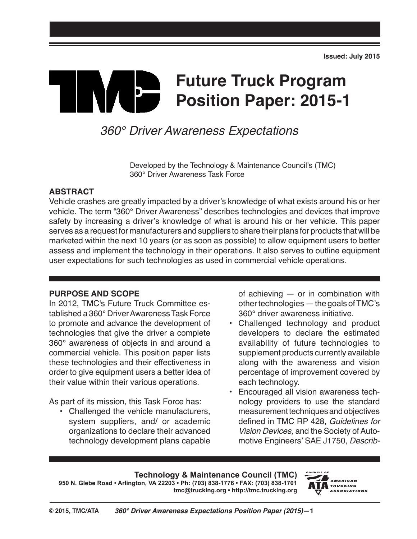# **Future Truck Program TINAPS Position Paper: 2015-1**

## *360° Driver Awareness Expectations*

Developed by the Technology & Maintenance Council's (TMC) 360° Driver Awareness Task Force

## **ABSTRACT**

Vehicle crashes are greatly impacted by a driver's knowledge of what exists around his or her vehicle. The term "360° Driver Awareness" describes technologies and devices that improve safety by increasing a driver's knowledge of what is around his or her vehicle. This paper serves as a request for manufacturers and suppliers to share their plans for products that will be marketed within the next 10 years (or as soon as possible) to allow equipment users to better assess and implement the technology in their operations. It also serves to outline equipment user expectations for such technologies as used in commercial vehicle operations.

#### **PURPOSE AND SCOPE**

In 2012, TMC's Future Truck Committee established a 360° Driver Awareness Task Force to promote and advance the development of technologies that give the driver a complete 360° awareness of objects in and around a commercial vehicle. This position paper lists these technologies and their effectiveness in order to give equipment users a better idea of their value within their various operations.

As part of its mission, this Task Force has:

• Challenged the vehicle manufacturers, system suppliers, and/ or academic organizations to declare their advanced technology development plans capable

of achieving — or in combination with other technologies — the goals of TMC's 360° driver awareness initiative.

- Challenged technology and product developers to declare the estimated availability of future technologies to supplement products currently available along with the awareness and vision percentage of improvement covered by each technology.
- • Encouraged all vision awareness technology providers to use the standard measurement techniques and objectives defined in TMC RP 428, *Guidelines for Vision Devices,* and the Society of Automotive Engineers' SAE J1750, *Describ-*

## **Technology & Maintenance Council (TMC)**

**950 N. Glebe Road • Arlington, VA 22203 • Ph: (703) 838-1776 • FAX: (703) 838-1701 tmc@trucking.org • http://tmc.trucking.org**

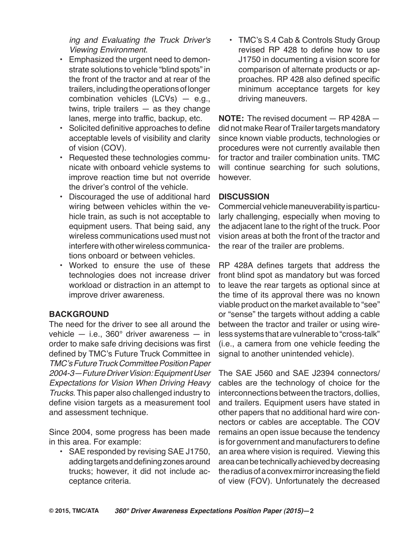*ing and Evaluating the Truck Driver's Viewing Environment*.

- • Emphasized the urgent need to demonstrate solutions to vehicle "blind spots" in the front of the tractor and at rear of the trailers, including the operations of longer combination vehicles (LCVs) — e.g., twins, triple trailers  $-$  as they change lanes, merge into traffic, backup, etc.
- Solicited definitive approaches to define acceptable levels of visibility and clarity of vision (COV).
- • Requested these technologies communicate with onboard vehicle systems to improve reaction time but not override the driver's control of the vehicle.
- • Discouraged the use of additional hard wiring between vehicles within the vehicle train, as such is not acceptable to equipment users. That being said, any wireless communications used must not interfere with other wireless communications onboard or between vehicles.
- • Worked to ensure the use of these technologies does not increase driver workload or distraction in an attempt to improve driver awareness.

## **BACKGROUND**

The need for the driver to see all around the vehicle  $-$  i.e., 360 $^{\circ}$  driver awareness  $-$  in order to make safe driving decisions was first defined by TMC's Future Truck Committee in *TMC's Future Truck Committee Position Paper 2004-3—Future Driver Vision: Equipment User Expectations for Vision When Driving Heavy Trucks*. This paper also challenged industry to define vision targets as a measurement tool and assessment technique.

Since 2004, some progress has been made in this area. For example:

• SAE responded by revising SAE J1750, adding targets and defining zones around trucks; however, it did not include acceptance criteria.

• TMC's S.4 Cab & Controls Study Group revised RP 428 to define how to use J1750 in documenting a vision score for comparison of alternate products or approaches. RP 428 also defined specific minimum acceptance targets for key driving maneuvers.

**NOTE:** The revised document — RP 428A did not make Rear of Trailer targets mandatory since known viable products, technologies or procedures were not currently available then for tractor and trailer combination units. TMC will continue searching for such solutions, however.

#### **Discussion**

Commercial vehicle maneuverability is particularly challenging, especially when moving to the adjacent lane to the right of the truck. Poor vision areas at both the front of the tractor and the rear of the trailer are problems.

RP 428A defines targets that address the front blind spot as mandatory but was forced to leave the rear targets as optional since at the time of its approval there was no known viable product on the market available to "see" or "sense" the targets without adding a cable between the tractor and trailer or using wireless systems that are vulnerable to "cross-talk" (i.e., a camera from one vehicle feeding the signal to another unintended vehicle).

The SAE J560 and SAE J2394 connectors/ cables are the technology of choice for the interconnections between the tractors, dollies, and trailers. Equipment users have stated in other papers that no additional hard wire connectors or cables are acceptable. The COV remains an open issue because the tendency is for government and manufacturers to define an area where vision is required. Viewing this area can be technically achieved by decreasing the radius of a convex mirror increasing the field of view (FOV). Unfortunately the decreased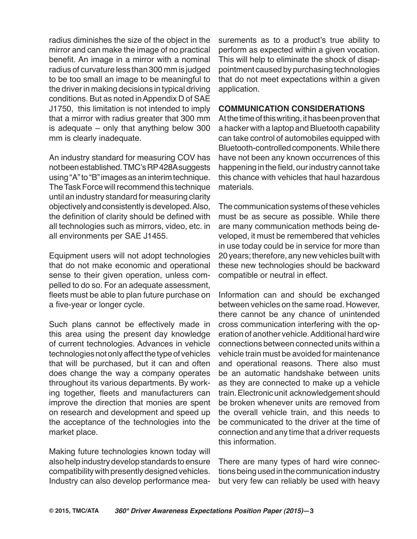radius diminishes the size of the object in the mirror and can make the image of no practical benefit. An image in a mirror with a nominal radius of curvature less than 300 mm is judged to be too small an image to be meaningful to the driver in making decisions in typical driving conditions. But as noted inAppendix D of SAE J1750, this limitation is not intended to imply that a mirror with radius greater that 300 mm is adequate – only that anything below 300 mm is clearly inadequate.

An industry standard for measuring COV has notbeenestablished.TMC'sRP428Asuggests using "A" to "B" images as an interim technique. The Task Force will recommend this technique until an industry standard for measuring clarity objectively and consistently is developed. Also, the definition of clarity should be defined with all technologies such as mirrors, video, etc. in all environments per SAE J1455.

Equipment users will not adopt technologies that do not make economic and operational sense to their given operation, unless compelled to do so. For an adequate assessment, fleets must be able to plan future purchase on a five-year or longer cycle.

Such plans cannot be effectively made in this area using the present day knowledge of current technologies. Advances in vehicle technologies not only affect the type of vehicles that will be purchased, but it can and often does change the way a company operates throughout its various departments. By working together, fleets and manufacturers can improve the direction that monies are spent on research and development and speed up the acceptance of the technologies into the market place.

Making future technologies known today will also help industry develop standards to ensure compatibility with presently designed vehicles. Industry can also develop performance mea-

surements as to a product's true ability to perform as expected within a given vocation. This will help to eliminate the shock of disappointment caused by purchasing technologies that do not meet expectations within a given application.

#### **Communication Considerations**

At the time of this writing, it has been proven that a hacker with a laptop and Bluetooth capability can take control of automobiles equipped with Bluetooth-controlled components. While there have not been any known occurrences of this happening in the field, our industry cannot take this chance with vehicles that haul hazardous materials.

The communication systems of these vehicles must be as secure as possible. While there are many communication methods being developed, it must be remembered that vehicles in use today could be in service for more than 20 years; therefore, any new vehicles built with these new technologies should be backward compatible or neutral in effect.

Information can and should be exchanged between vehicles on the same road. However, there cannot be any chance of unintended cross communication interfering with the operation of another vehicle. Additional hard wire connections between connected units within a vehicle train must be avoided for maintenance and operational reasons. There also must be an automatic handshake between units as they are connected to make up a vehicle train.Electronicunit acknowledgement should be broken whenever units are removed from the overall vehicle train, and this needs to be communicated to the driver at the time of connection and any time that a driver requests this information.

There are many types of hard wire connections being used in the communication industry but very few can reliably be used with heavy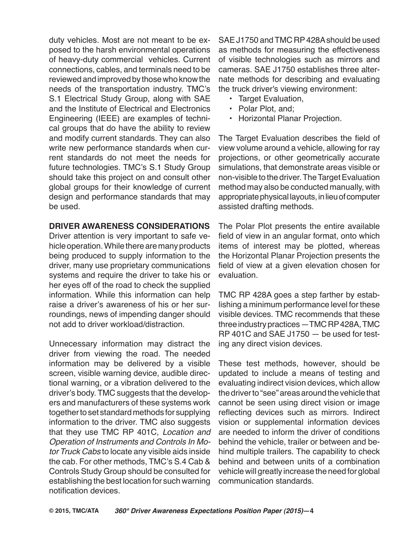duty vehicles. Most are not meant to be exposed to the harsh environmental operations of heavy-duty commercial vehicles. Current connections, cables, and terminals need to be reviewed and improved by those who know the needs of the transportation industry. TMC's S.1 Electrical Study Group, along with SAE and the Institute of Electrical and Electronics Engineering (IEEE) are examples of technical groups that do have the ability to review and modify current standards. They can also write new performance standards when current standards do not meet the needs for future technologies. TMC's S.1 Study Group should take this project on and consult other global groups for their knowledge of current design and performance standards that may be used.

#### **Driver Awareness Considerations**

Driver attention is very important to safe vehicle operation. While there are many products being produced to supply information to the driver, many use proprietary communications systems and require the driver to take his or her eyes off of the road to check the supplied information. While this information can help raise a driver's awareness of his or her surroundings, news of impending danger should not add to driver workload/distraction.

Unnecessary information may distract the driver from viewing the road. The needed information may be delivered by a visible screen, visible warning device, audible directional warning, or a vibration delivered to the driver's body. TMC suggests that the developers and manufacturers of these systems work together to set standard methods for supplying information to the driver. TMC also suggests that they use TMC RP 401C, *Location and Operation of Instruments and Controls In Motor Truck Cabs* to locate any visible aids inside the cab. For other methods, TMC's S.4 Cab & Controls Study Group should be consulted for establishing the best location for such warning notification devices.

SAE J1750 and TMC RP428A should be used as methods for measuring the effectiveness of visible technologies such as mirrors and cameras. SAE J1750 establishes three alternate methods for describing and evaluating the truck driver's viewing environment:

- • Target Evaluation,
- Polar Plot, and;
- Horizontal Planar Projection.

The Target Evaluation describes the field of view volume around a vehicle, allowing for ray projections, or other geometrically accurate simulations, that demonstrate areas visible or non-visible to the driver. The Target Evaluation method may also be conducted manually, with appropriate physical layouts, in lieu of computer assisted drafting methods.

The Polar Plot presents the entire available field of view in an angular format, onto which items of interest may be plotted, whereas the Horizontal Planar Projection presents the field of view at a given elevation chosen for evaluation.

TMC RP 428A goes a step farther by establishing a minimum performance level for these visible devices. TMC recommends that these threeindustrypractices—TMCRP428A,TMC RP 401C and SAE J1750 — be used for testing any direct vision devices.

These test methods, however, should be updated to include a means of testing and evaluating indirect vision devices, which allow the driver to "see" areas around the vehicle that cannot be seen using direct vision or image reflecting devices such as mirrors. Indirect vision or supplemental information devices are needed to inform the driver of conditions behind the vehicle, trailer or between and behind multiple trailers. The capability to check behind and between units of a combination vehicle will greatly increase the need for global communication standards.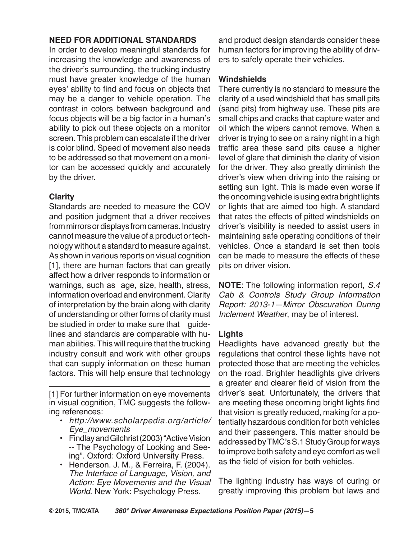#### **Need for additional Standards**

In order to develop meaningful standards for increasing the knowledge and awareness of the driver's surrounding, the trucking industry must have greater knowledge of the human eyes' ability to find and focus on objects that may be a danger to vehicle operation. The contrast in colors between background and focus objects will be a big factor in a human's ability to pick out these objects on a monitor screen. This problem can escalate if the driver is color blind. Speed of movement also needs to be addressed so that movement on a monitor can be accessed quickly and accurately by the driver.

#### **Clarity**

Standards are needed to measure the COV and position judgment that a driver receives from mirrors or displays from cameras. Industry cannot measure the value of a product or technology without a standard to measure against. As shown in various reports on visual cognition [1], there are human factors that can greatly affect how a driver responds to information or warnings, such as age, size, health, stress, information overload and environment. Clarity of interpretation by the brain along with clarity of understanding or other forms of clarity must be studied in order to make sure that quidelines and standards are comparable with human abilities. This will require that the trucking industry consult and work with other groups that can supply information on these human factors. This will help ensure that technology

[1] For further information on eye movements in visual cognition, TMC suggests the following references:

- • *http://www.scholarpedia.org/article/ Eye\_movements*
- Findlay and Gilchrist (2003) "Active Vision -- The Psychology of Looking and Seeing". Oxford: Oxford University Press.
- • Henderson. J. M., & Ferreira, F. (2004). *The Interface of Language, Vision, and Action: Eye Movements and the Visual World*. New York: Psychology Press.

and product design standards consider these human factors for improving the ability of drivers to safely operate their vehicles.

#### **Windshields**

There currently is no standard to measure the clarity of a used windshield that has small pits (sand pits) from highway use. These pits are small chips and cracks that capture water and oil which the wipers cannot remove. When a driver is trying to see on a rainy night in a high traffic area these sand pits cause a higher level of glare that diminish the clarity of vision for the driver. They also greatly diminish the driver's view when driving into the raising or setting sun light. This is made even worse if the oncoming vehicle is using extra bright lights or lights that are aimed too high. A standard that rates the effects of pitted windshields on driver's visibility is needed to assist users in maintaining safe operating conditions of their vehicles. Once a standard is set then tools can be made to measure the effects of these pits on driver vision.

**NOTE**: The following information report, *S.4 Cab & Controls Study Group Information Report: 2013-1—Mirror Obscuration During Inclement Weather*, may be of interest.

#### **Lights**

Headlights have advanced greatly but the regulations that control these lights have not protected those that are meeting the vehicles on the road. Brighter headlights give drivers a greater and clearer field of vision from the driver's seat. Unfortunately, the drivers that are meeting these oncoming bright lights find that vision is greatly reduced, making for a potentially hazardous condition for both vehicles and their passengers. This matter should be addressedbyTMC'sS.1StudyGroupforways to improve both safety and eye comfort as well as the field of vision for both vehicles.

The lighting industry has ways of curing or greatly improving this problem but laws and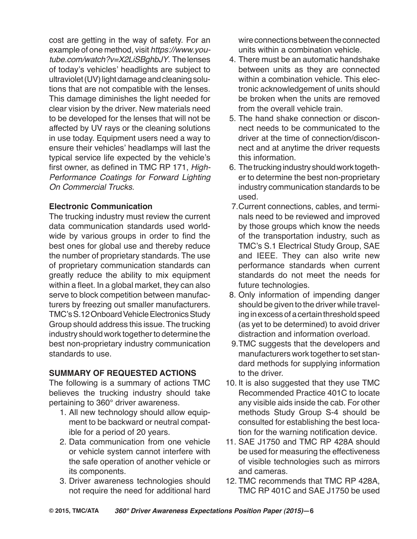cost are getting in the way of safety. For an example of one method, visit *https://www.youtube.com/watch?v=X2LiSBghbJY*. The lenses of today's vehicles' headlights are subject to ultraviolet (UV) light damage and cleaning solutions that are not compatible with the lenses. This damage diminishes the light needed for clear vision by the driver. New materials need to be developed for the lenses that will not be affected by UV rays or the cleaning solutions in use today. Equipment users need a way to ensure their vehicles' headlamps will last the typical service life expected by the vehicle's first owner, as defined in TMC RP 171, *High-Performance Coatings for Forward Lighting On Commercial Trucks.* 

### **Electronic Communication**

The trucking industry must review the current data communication standards used worldwide by various groups in order to find the best ones for global use and thereby reduce the number of proprietary standards. The use of proprietary communication standards can greatly reduce the ability to mix equipment within a fleet. In a global market, they can also serve to block competition between manufacturers by freezing out smaller manufacturers. TMC's S.12 Onboard Vehicle Electronics Study Group should address this issue. The trucking industry should work together to determine the best non-proprietary industry communication standards to use.

#### **SUMMARY OF REQUESTED ACTIONS**

The following is a summary of actions TMC believes the trucking industry should take pertaining to 360° driver awareness.

- 1. All new technology should allow equipment to be backward or neutral compatible for a period of 20 years.
- 2. Data communication from one vehicle or vehicle system cannot interfere with the safe operation of another vehicle or its components.
- 3. Driver awareness technologies should not require the need for additional hard

wire connections between the connected units within a combination vehicle.

- 4. There must be an automatic handshake between units as they are connected within a combination vehicle. This electronic acknowledgement of units should be broken when the units are removed from the overall vehicle train.
- 5. The hand shake connection or disconnect needs to be communicated to the driver at the time of connection/disconnect and at anytime the driver requests this information.
- 6. The trucking industry should work together to determine the best non-proprietary industry communication standards to be used.
- 7. Current connections, cables, and terminals need to be reviewed and improved by those groups which know the needs of the transportation industry, such as TMC's S.1 Electrical Study Group, SAE and IEEE. They can also write new performance standards when current standards do not meet the needs for future technologies.
- 8. Only information of impending danger should be given to the driver while traveling in excess of a certain threshold speed (as yet to be determined) to avoid driver distraction and information overload.
- 9. TMC suggests that the developers and manufacturers work together to set standard methods for supplying information to the driver.
- 10. It is also suggested that they use TMC Recommended Practice 401C to locate any visible aids inside the cab. For other methods Study Group S-4 should be consulted for establishing the best location for the warning notification device.
- 11. SAE J1750 and TMC RP 428A should be used for measuring the effectiveness of visible technologies such as mirrors and cameras.
- 12. TMC recommends that TMC RP 428A. TMC RP 401C and SAE J1750 be used